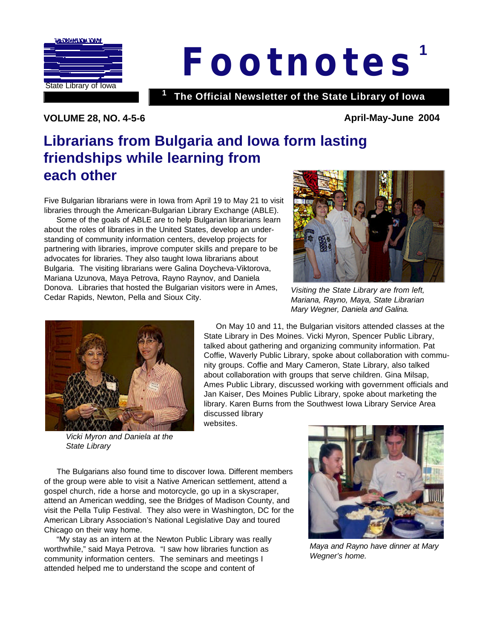

# **1** *Footnote s*

**The Official Newsletter of the State Library of Iowa <sup>1</sup>**

**VOLUME 28, NO. 4-5-6 April-May-June 2004** 

### **Librarians from Bulgaria and Iowa form lasting friendships while learning from each other**

Five Bulgarian librarians were in Iowa from April 19 to May 21 to visit libraries through the American-Bulgarian Library Exchange (ABLE).

 Some of the goals of ABLE are to help Bulgarian librarians learn about the roles of libraries in the United States, develop an understanding of community information centers, develop projects for partnering with libraries, improve computer skills and prepare to be advocates for libraries. They also taught Iowa librarians about Bulgaria. The visiting librarians were Galina Doycheva-Viktorova, Mariana Uzunova, Maya Petrova, Rayno Raynov, and Daniela Donova. Libraries that hosted the Bulgarian visitors were in Ames, Cedar Rapids, Newton, Pella and Sioux City.



*Visiting the State Library are from left, Mariana, Rayno, Maya, State Librarian Mary Wegner, Daniela and Galina.*



*Vicki Myron and Daniela at the State Library*

 On May 10 and 11, the Bulgarian visitors attended classes at the State Library in Des Moines. Vicki Myron, Spencer Public Library, talked about gathering and organizing community information. Pat Coffie, Waverly Public Library, spoke about collaboration with community groups. Coffie and Mary Cameron, State Library, also talked about collaboration with groups that serve children. Gina Milsap, Ames Public Library, discussed working with government officials and Jan Kaiser, Des Moines Public Library, spoke about marketing the library. Karen Burns from the Southwest Iowa Library Service Area discussed library

websites.



 "My stay as an intern at the Newton Public Library was really worthwhile," said Maya Petrova. "I saw how libraries function as community information centers. The seminars and meetings I attended helped me to understand the scope and content of



*Maya and Rayno have dinner at Mary Wegner's home.*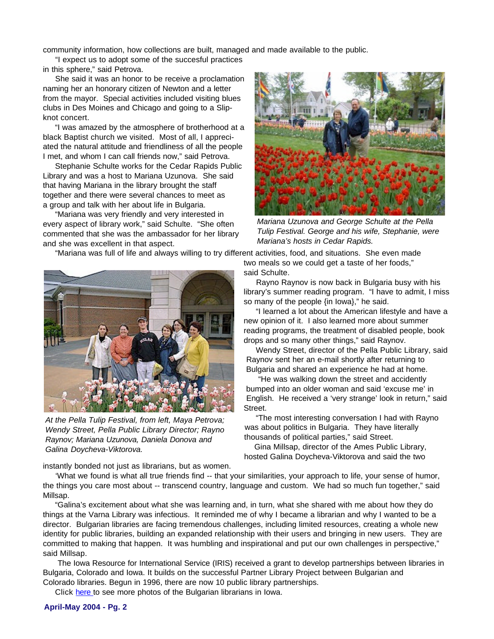community information, how collections are built, managed and made available to the public.

 "I expect us to adopt some of the succesful practices in this sphere," said Petrova.

 She said it was an honor to be receive a proclamation naming her an honorary citizen of Newton and a letter from the mayor. Special activities included visiting blues clubs in Des Moines and Chicago and going to a Slipknot concert.

 "I was amazed by the atmosphere of brotherhood at a black Baptist church we visited. Most of all, I appreciated the natural attitude and friendliness of all the people I met, and whom I can call friends now," said Petrova.

 Stephanie Schulte works for the Cedar Rapids Public Library and was a host to Mariana Uzunova. She said that having Mariana in the library brought the staff together and there were several chances to meet as a group and talk with her about life in Bulgaria.

 "Mariana was very friendly and very interested in every aspect of library work," said Schulte. "She often commented that she was the ambassador for her library and she was excellent in that aspect.



*Tulip Festival. George and his wife, Stephanie, were Mariana's hosts in Cedar Rapids.*

"Mariana was full of life and always willing to try different activities, food, and situations. She even made



*At the Pella Tulip Festival, from left, Maya Petrova; Wendy Street, Pella Public Library Director; Rayno Raynov; Mariana Uzunova, Daniela Donova and Galina Doycheva-Viktorova.*

instantly bonded not just as librarians, but as women.

two meals so we could get a taste of her foods," said Schulte.

 Rayno Raynov is now back in Bulgaria busy with his library's summer reading program. "I have to admit, I miss so many of the people {in Iowa}," he said.

 "I learned a lot about the American lifestyle and have a new opinion of it. I also learned more about summer reading programs, the treatment of disabled people, book drops and so many other things," said Raynov.

 Wendy Street, director of the Pella Public Library, said Raynov sent her an e-mail shortly after returning to Bulgaria and shared an experience he had at home.

 "He was walking down the street and accidently bumped into an older woman and said 'excuse me' in English. He received a 'very strange' look in return," said Street.

 "The most interesting conversation I had with Rayno was about politics in Bulgaria. They have literally thousands of political parties," said Street.

 Gina Millsap, director of the Ames Public Library, hosted Galina Doycheva-Viktorova and said the two

 'What we found is what all true friends find -- that your similarities, your approach to life, your sense of humor, the things you care most about -- transcend country, language and custom. We had so much fun together," said Millsap.

 "Galina's excitement about what she was learning and, in turn, what she shared with me about how they do things at the Varna Library was infectious. It reminded me of why I became a librarian and why I wanted to be a director. Bulgarian libraries are facing tremendous challenges, including limited resources, creating a whole new identity for public libraries, building an expanded relationship with their users and bringing in new users. They are committed to making that happen. It was humbling and inspirational and put our own challenges in perspective," said Millsap.

 The Iowa Resource for International Service (IRIS) received a grant to develop partnerships between libraries in Bulgaria, Colorado and Iowa. It builds on the successful Partner Library Project between Bulgarian and Colorado libraries. Begun in 1996, there are now 10 public library partnerships.

Click [here](http://www.silo.lib.ia.us/news/news/News-2004/bulgarian-photos/photo-page-one.htm) to see more photos of the Bulgarian librarians in Iowa.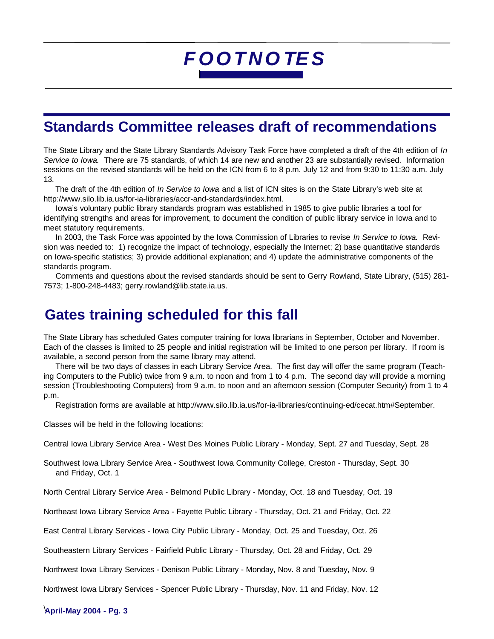### **Standards Committee releases draft of recommendations**

The State Library and the State Library Standards Advisory Task Force have completed a draft of the 4th edition of *In Service to Iowa.* There are 75 standards, of which 14 are new and another 23 are substantially revised. Information sessions on the revised standards will be held on the ICN from 6 to 8 p.m. July 12 and from 9:30 to 11:30 a.m. July 13.

 The draft of the 4th edition of *In Service to Iowa* and a list of ICN sites is on the State Library's web site at [http://www.silo.lib.ia.us/for-ia-libraries/accr-and-standards/index.html.](http://www.silo.lib.ia.us/for-ia-libraries/accr-and-standards/index.html)

 Iowa's voluntary public library standards program was established in 1985 to give public libraries a tool for identifying strengths and areas for improvement, to document the condition of public library service in Iowa and to meet statutory requirements.

 In 2003, the Task Force was appointed by the Iowa Commission of Libraries to revise *In Service to Iowa.* Revision was needed to: 1) recognize the impact of technology, especially the Internet; 2) base quantitative standards on Iowa-specific statistics; 3) provide additional explanation; and 4) update the administrative components of the standards program.

 Comments and questions about the revised standards should be sent to Gerry Rowland, State Library, (515) 281- 7573; 1-800-248-4483; [gerry.rowland@lib.state.ia.us.](email:gerry.rowland@lib.state.ia.us)

### **Gates training scheduled for this fall**

The State Library has scheduled Gates computer training for Iowa librarians in September, October and November. Each of the classes is limited to 25 people and initial registration will be limited to one person per library. If room is available, a second person from the same library may attend.

 There will be two days of classes in each Library Service Area. The first day will offer the same program (Teaching Computers to the Public) twice from 9 a.m. to noon and from 1 to 4 p.m. The second day will provide a morning session (Troubleshooting Computers) from 9 a.m. to noon and an afternoon session (Computer Security) from 1 to 4 p.m.

Registration forms are available at [http://www.silo.lib.ia.us/for-ia-libraries/continuing-ed/cecat.htm#September.](http://www.silo.lib.ia.us/for-ia-libraries/continuing-ed/cecat.htm#September)

Classes will be held in the following locations:

Central Iowa Library Service Area - West Des Moines Public Library - Monday, Sept. 27 and Tuesday, Sept. 28

Southwest Iowa Library Service Area - Southwest Iowa Community College, Creston - Thursday, Sept. 30 and Friday, Oct. 1

North Central Library Service Area - Belmond Public Library - Monday, Oct. 18 and Tuesday, Oct. 19

Northeast Iowa Library Service Area - Fayette Public Library - Thursday, Oct. 21 and Friday, Oct. 22

East Central Library Services - Iowa City Public Library - Monday, Oct. 25 and Tuesday, Oct. 26

Southeastern Library Services - Fairfield Public Library - Thursday, Oct. 28 and Friday, Oct. 29

Northwest Iowa Library Services - Denison Public Library - Monday, Nov. 8 and Tuesday, Nov. 9

Northwest Iowa Library Services - Spencer Public Library - Thursday, Nov. 11 and Friday, Nov. 12

**April-May 2004 - Pg. 3** \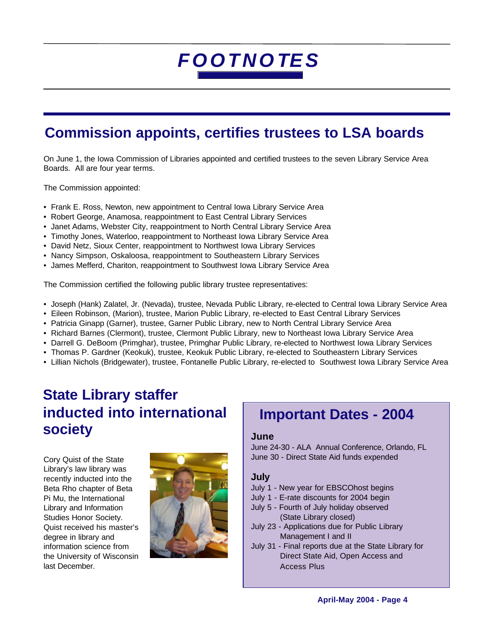## **Commission appoints, certifies trustees to LSA boards**

On June 1, the Iowa Commission of Libraries appointed and certified trustees to the seven Library Service Area Boards. All are four year terms.

The Commission appointed:

- Frank E. Ross, Newton, new appointment to Central Iowa Library Service Area
- Robert George, Anamosa, reappointment to East Central Library Services
- Janet Adams, Webster City, reappointment to North Central Library Service Area
- Timothy Jones, Waterloo, reappointment to Northeast Iowa Library Service Area
- David Netz, Sioux Center, reappointment to Northwest Iowa Library Services
- Nancy Simpson, Oskaloosa, reappointment to Southeastern Library Services
- James Mefferd, Chariton, reappointment to Southwest Iowa Library Service Area

The Commission certified the following public library trustee representatives:

- Joseph (Hank) Zalatel, Jr. (Nevada), trustee, Nevada Public Library, re-elected to Central Iowa Library Service Area
- Eileen Robinson, (Marion), trustee, Marion Public Library, re-elected to East Central Library Services
- Patricia Ginapp (Garner), trustee, Garner Public Library, new to North Central Library Service Area
- Richard Barnes (Clermont), trustee, Clermont Public Library, new to Northeast Iowa Library Service Area
- Darrell G. DeBoom (Primghar), trustee, Primghar Public Library, re-elected to Northwest Iowa Library Services
- Thomas P. Gardner (Keokuk), trustee, Keokuk Public Library, re-elected to Southeastern Library Services
- Lillian Nichols (Bridgewater), trustee, Fontanelle Public Library, re-elected to Southwest Iowa Library Service Area

### **State Library staffer inducted into international society**

Cory Quist of the State Library's law library was recently inducted into the Beta Rho chapter of Beta Pi Mu, the International Library and Information Studies Honor Society. Quist received his master's degree in library and information science from the University of Wisconsin last December.



### **Important Dates - 2004**

#### **June**

June 24-30 - ALA Annual Conference, Orlando, FL June 30 - Direct State Aid funds expended

#### **July**

- July 1 New year for EBSCOhost begins
- July 1 E-rate discounts for 2004 begin
- July 5 Fourth of July holiday observed (State Library closed)
- July 23 Applications due for Public Library Management I and II
- July 31 Final reports due at the State Library for Direct State Aid, Open Access and Access Plus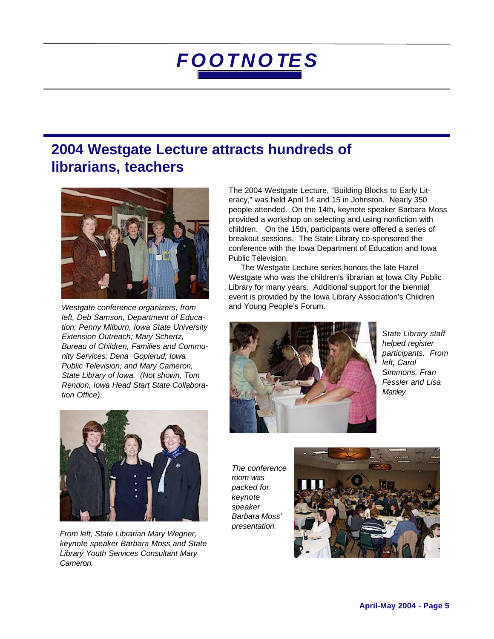### **2004 Westgate Lecture attracts hundreds of librarians, teachers**



*Westgate conference organizers, from* and Young People's Forum. *left, Deb Samson, Department of Education; Penny Milburn, Iowa State University Extension Outreach; Mary Schertz, Bureau of Children, Families and Community Services; Dena Goplerud, Iowa Public Television; and Mary Cameron, State Library of Iowa. (Not shown, Tom Rendon, Iowa Head Start State Collaboration Office).*

The 2004 Westgate Lecture, "Building Blocks to Early Literacy," was held April 14 and 15 in Johnston. Nearly 350 people attended. On the 14th, keynote speaker Barbara Moss provided a workshop on selecting and using nonfiction with children. On the 15th, participants were offered a series of breakout sessions. The State Library co-sponsored the conference with the Iowa Department of Education and Iowa Public Television.

 The Westgate Lecture series honors the late Hazel Westgate who was the children's librarian at Iowa City Public Library for many years. Additional support for the biennial event is provided by the Iowa Library Association's Children



*State Library staff helped register participants. From left, Carol Simmons, Fran Fessler and Lisa Manley.*



*From left, State Librarian Mary Wegner, keynote speaker Barbara Moss and State Library Youth Services Consultant Mary Cameron.*

*The conference room was packed for keynote speaker Barbara Moss' presentation.*

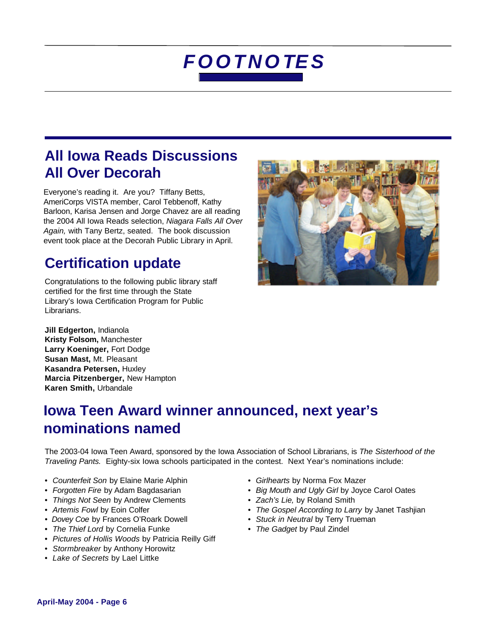### **All Iowa Reads Discussions All Over Decorah**

Everyone's reading it. Are you? Tiffany Betts, AmeriCorps VISTA member, Carol Tebbenoff, Kathy Barloon, Karisa Jensen and Jorge Chavez are all reading the 2004 All Iowa Reads selection, *Niagara Falls All Over Again,* with Tany Bertz, seated. The book discussion event took place at the Decorah Public Library in April.

## **Certification update**

Congratulations to the following public library staff certified for the first time through the State Library's Iowa Certification Program for Public Librarians.



**Jill Edgerton,** Indianola **Kristy Folsom,** Manchester **Larry Koeninger,** Fort Dodge **Susan Mast,** Mt. Pleasant **Kasandra Petersen,** Huxley **Marcia Pitzenberger,** New Hampton **Karen Smith,** Urbandale

## **Iowa Teen Award winner announced, next year's nominations named**

The 2003-04 Iowa Teen Award, sponsored by the Iowa Association of School Librarians, is *The Sisterhood of the Traveling Pants.* Eighty-six Iowa schools participated in the contest. Next Year's nominations include:

- *Counterfeit Son* by Elaine Marie Alphin *Girlhearts* by Norma Fox Mazer
- 
- *Things Not Seen* by Andrew Clements *Zach's Lie,* by Roland Smith
- 
- *Dovey Coe* by Frances O'Roark Dowell *Stuck in Neutral* by Terry Trueman
- *The Thief Lord* by Cornelia Funke *The Gadget* by Paul Zindel
- *Pictures of Hollis Woods* by Patricia Reilly Giff
- *Stormbreaker* by Anthony Horowitz
- *Lake of Secrets* by Lael Littke
- 
- *Forgotten Fire* by Adam Bagdasarian *Big Mouth and Ugly Girl* by Joyce Carol Oates
	-
- *Artemis Fowl by Eoin Colfer The Gospel According to Larry by Janet Tashjian* 
	-
	-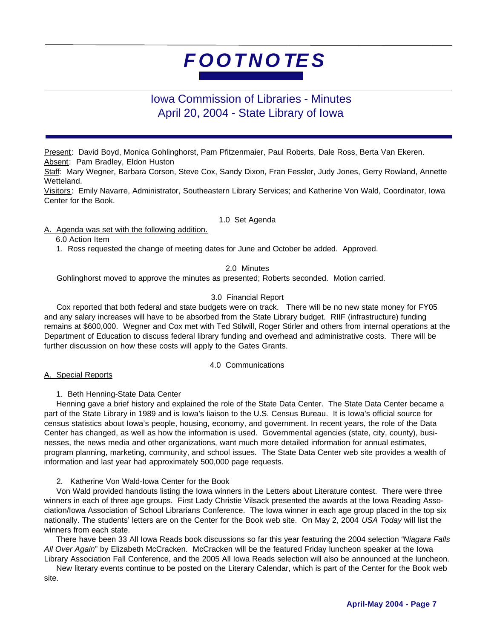#### Iowa Commission of Libraries - Minutes April 20, 2004 - State Library of Iowa

Present: David Boyd, Monica Gohlinghorst, Pam Pfitzenmaier, Paul Roberts, Dale Ross, Berta Van Ekeren. Absent: Pam Bradley, Eldon Huston

Staff: Mary Wegner, Barbara Corson, Steve Cox, Sandy Dixon, Fran Fessler, Judy Jones, Gerry Rowland, Annette Wetteland.

Visitors: Emily Navarre, Administrator, Southeastern Library Services; and Katherine Von Wald, Coordinator, Iowa Center for the Book.

1.0 Set Agenda

A. Agenda was set with the following addition.

6.0 Action Item

1. Ross requested the change of meeting dates for June and October be added. Approved.

#### 2.0 Minutes

Gohlinghorst moved to approve the minutes as presented; Roberts seconded. Motion carried.

#### 3.0 Financial Report

 Cox reported that both federal and state budgets were on track. There will be no new state money for FY05 and any salary increases will have to be absorbed from the State Library budget. RIIF (infrastructure) funding remains at \$600,000. Wegner and Cox met with Ted Stilwill, Roger Stirler and others from internal operations at the Department of Education to discuss federal library funding and overhead and administrative costs. There will be further discussion on how these costs will apply to the Gates Grants.

4.0 Communications

A. Special Reports

1. Beth Henning-State Data Center

 Henning gave a brief history and explained the role of the State Data Center. The State Data Center became a part of the State Library in 1989 and is Iowa's liaison to the U.S. Census Bureau. It is Iowa's official source for census statistics about Iowa's people, housing, economy, and government. In recent years, the role of the Data Center has changed, as well as how the information is used. Governmental agencies (state, city, county), businesses, the news media and other organizations, want much more detailed information for annual estimates, program planning, marketing, community, and school issues. The State Data Center web site provides a wealth of information and last year had approximately 500,000 page requests.

2. Katherine Von Wald-Iowa Center for the Book

 Von Wald provided handouts listing the Iowa winners in the Letters about Literature contest. There were three winners in each of three age groups. First Lady Christie Vilsack presented the awards at the Iowa Reading Association/Iowa Association of School Librarians Conference. The Iowa winner in each age group placed in the top six nationally. The students' letters are on the Center for the Book web site. On May 2, 2004 *USA Today* will list the winners from each state.

 There have been 33 All Iowa Reads book discussions so far this year featuring the 2004 selection "*Niagara Falls All Over Again*" by Elizabeth McCracken. McCracken will be the featured Friday luncheon speaker at the Iowa Library Association Fall Conference, and the 2005 All Iowa Reads selection will also be announced at the luncheon.

 New literary events continue to be posted on the Literary Calendar, which is part of the Center for the Book web site.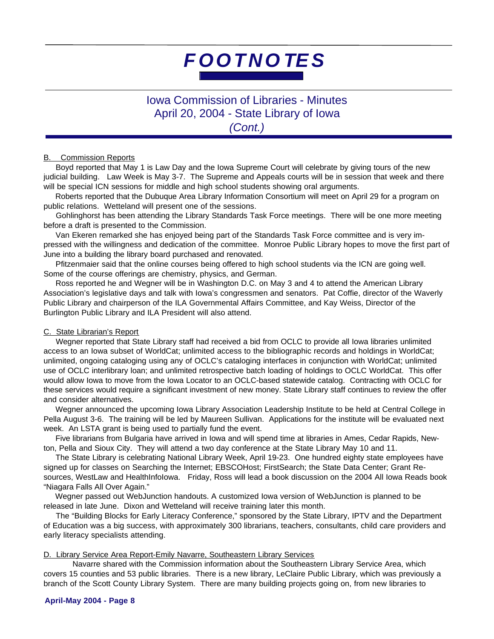Iowa Commission of Libraries - Minutes April 20, 2004 - State Library of Iowa *(Cont.)*

#### **B.** Commission Reports

 Boyd reported that May 1 is Law Day and the Iowa Supreme Court will celebrate by giving tours of the new judicial building. Law Week is May 3-7. The Supreme and Appeals courts will be in session that week and there will be special ICN sessions for middle and high school students showing oral arguments.

 Roberts reported that the Dubuque Area Library Information Consortium will meet on April 29 for a program on public relations. Wetteland will present one of the sessions.

 Gohlinghorst has been attending the Library Standards Task Force meetings. There will be one more meeting before a draft is presented to the Commission.

 Van Ekeren remarked she has enjoyed being part of the Standards Task Force committee and is very impressed with the willingness and dedication of the committee. Monroe Public Library hopes to move the first part of June into a building the library board purchased and renovated.

 Pfitzenmaier said that the online courses being offered to high school students via the ICN are going well. Some of the course offerings are chemistry, physics, and German.

 Ross reported he and Wegner will be in Washington D.C. on May 3 and 4 to attend the American Library Association's legislative days and talk with Iowa's congressmen and senators. Pat Coffie, director of the Waverly Public Library and chairperson of the ILA Governmental Affairs Committee, and Kay Weiss, Director of the Burlington Public Library and ILA President will also attend.

#### C. State Librarian's Report

 Wegner reported that State Library staff had received a bid from OCLC to provide all Iowa libraries unlimited access to an Iowa subset of WorldCat; unlimited access to the bibliographic records and holdings in WorldCat; unlimited, ongoing cataloging using any of OCLC's cataloging interfaces in conjunction with WorldCat; unlimited use of OCLC interlibrary loan; and unlimited retrospective batch loading of holdings to OCLC WorldCat. This offer would allow Iowa to move from the Iowa Locator to an OCLC-based statewide catalog. Contracting with OCLC for these services would require a significant investment of new money. State Library staff continues to review the offer and consider alternatives.

 Wegner announced the upcoming Iowa Library Association Leadership Institute to be held at Central College in Pella August 3-6. The training will be led by Maureen Sullivan. Applications for the institute will be evaluated next week. An LSTA grant is being used to partially fund the event.

 Five librarians from Bulgaria have arrived in Iowa and will spend time at libraries in Ames, Cedar Rapids, Newton, Pella and Sioux City. They will attend a two day conference at the State Library May 10 and 11.

 The State Library is celebrating National Library Week, April 19-23. One hundred eighty state employees have signed up for classes on Searching the Internet; EBSCOHost; FirstSearch; the State Data Center; Grant Resources, WestLaw and HealthInfoIowa. Friday, Ross will lead a book discussion on the 2004 All Iowa Reads book "Niagara Falls All Over Again."

 Wegner passed out WebJunction handouts. A customized Iowa version of WebJunction is planned to be released in late June. Dixon and Wetteland will receive training later this month.

 The "Building Blocks for Early Literacy Conference," sponsored by the State Library, IPTV and the Department of Education was a big success, with approximately 300 librarians, teachers, consultants, child care providers and early literacy specialists attending.

#### D. Library Service Area Report-Emily Navarre, Southeastern Library Services

Navarre shared with the Commission information about the Southeastern Library Service Area, which covers 15 counties and 53 public libraries. There is a new library, LeClaire Public Library, which was previously a branch of the Scott County Library System. There are many building projects going on, from new libraries to